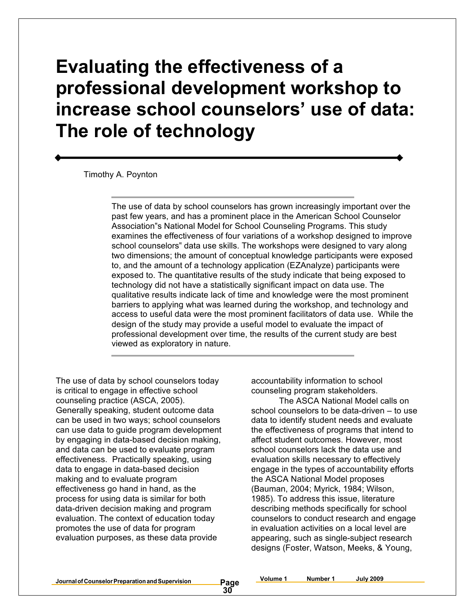# **Evaluating the effectiveness of a professional development workshop to increase school counselors' use of data: The role of technology**

Timothy A. Poynton

The use of data by school counselors has grown increasingly important over the past few years, and has a prominent place in the American School Counselor Association"s National Model for School Counseling Programs. This study examines the effectiveness of four variations of a workshop designed to improve school counselors" data use skills. The workshops were designed to vary along two dimensions; the amount of conceptual knowledge participants were exposed to, and the amount of a technology application (EZAnalyze) participants were exposed to. The quantitative results of the study indicate that being exposed to technology did not have a statistically significant impact on data use. The qualitative results indicate lack of time and knowledge were the most prominent barriers to applying what was learned during the workshop, and technology and access to useful data were the most prominent facilitators of data use. While the design of the study may provide a useful model to evaluate the impact of professional development over time, the results of the current study are best viewed as exploratory in nature.

The use of data by school counselors today is critical to engage in effective school counseling practice (ASCA, 2005). Generally speaking, student outcome data can be used in two ways; school counselors can use data to guide program development by engaging in data-based decision making, and data can be used to evaluate program effectiveness. Practically speaking, using data to engage in data-based decision making and to evaluate program effectiveness go hand in hand, as the process for using data is similar for both data-driven decision making and program evaluation. The context of education today promotes the use of data for program evaluation purposes, as these data provide

accountability information to school counseling program stakeholders.

The ASCA National Model calls on school counselors to be data-driven – to use data to identify student needs and evaluate the effectiveness of programs that intend to affect student outcomes. However, most school counselors lack the data use and evaluation skills necessary to effectively engage in the types of accountability efforts the ASCA National Model proposes (Bauman, 2004; Myrick, 1984; Wilson, 1985). To address this issue, literature describing methods specifically for school counselors to conduct research and engage in evaluation activities on a local level are appearing, such as single-subject research designs (Foster, Watson, Meeks, & Young,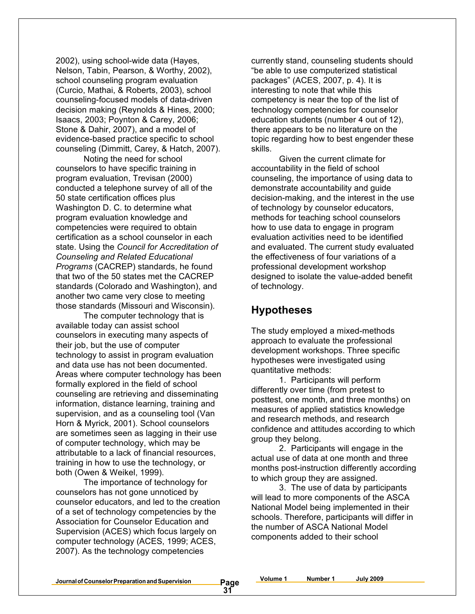2002), using school-wide data (Hayes, Nelson, Tabin, Pearson, & Worthy, 2002), school counseling program evaluation (Curcio, Mathai, & Roberts, 2003), school counseling-focused models of data-driven decision making (Reynolds & Hines, 2000; Isaacs, 2003; Poynton & Carey, 2006; Stone & Dahir, 2007), and a model of evidence-based practice specific to school counseling (Dimmitt, Carey, & Hatch, 2007).

Noting the need for school counselors to have specific training in program evaluation, Trevisan (2000) conducted a telephone survey of all of the 50 state certification offices plus Washington D. C. to determine what program evaluation knowledge and competencies were required to obtain certification as a school counselor in each state. Using the *Council for Accreditation of Counseling and Related Educational Programs* (CACREP) standards, he found that two of the 50 states met the CACREP standards (Colorado and Washington), and another two came very close to meeting those standards (Missouri and Wisconsin).

The computer technology that is available today can assist school counselors in executing many aspects of their job, but the use of computer technology to assist in program evaluation and data use has not been documented. Areas where computer technology has been formally explored in the field of school counseling are retrieving and disseminating information, distance learning, training and supervision, and as a counseling tool (Van Horn & Myrick, 2001). School counselors are sometimes seen as lagging in their use of computer technology, which may be attributable to a lack of financial resources, training in how to use the technology, or both (Owen & Weikel, 1999).

The importance of technology for counselors has not gone unnoticed by counselor educators, and led to the creation of a set of technology competencies by the Association for Counselor Education and Supervision (ACES) which focus largely on computer technology (ACES, 1999; ACES, 2007). As the technology competencies

currently stand, counseling students should "be able to use computerized statistical packages" (ACES, 2007, p. 4). It is interesting to note that while this competency is near the top of the list of technology competencies for counselor education students (number 4 out of 12), there appears to be no literature on the topic regarding how to best engender these skills.

Given the current climate for accountability in the field of school counseling, the importance of using data to demonstrate accountability and guide decision-making, and the interest in the use of technology by counselor educators, methods for teaching school counselors how to use data to engage in program evaluation activities need to be identified and evaluated. The current study evaluated the effectiveness of four variations of a professional development workshop designed to isolate the value-added benefit of technology.

### **Hypotheses**

The study employed a mixed-methods approach to evaluate the professional development workshops. Three specific hypotheses were investigated using quantitative methods:

1. Participants will perform differently over time (from pretest to posttest, one month, and three months) on measures of applied statistics knowledge and research methods, and research confidence and attitudes according to which group they belong.

2. Participants will engage in the actual use of data at one month and three months post-instruction differently according to which group they are assigned.

3. The use of data by participants will lead to more components of the ASCA National Model being implemented in their schools. Therefore, participants will differ in the number of ASCA National Model components added to their school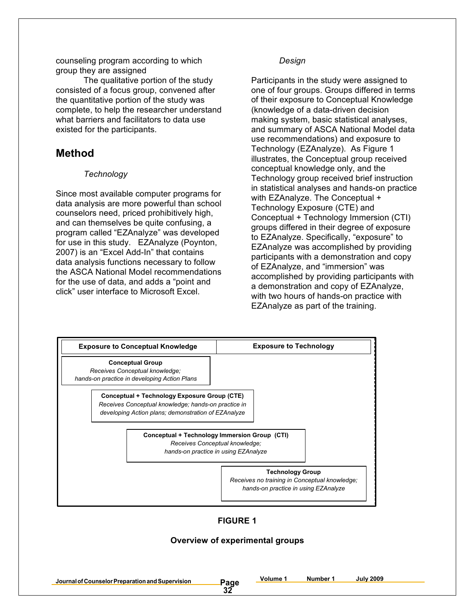counseling program according to which group they are assigned

The qualitative portion of the study consisted of a focus group, convened after the quantitative portion of the study was complete, to help the researcher understand what barriers and facilitators to data use existed for the participants.

### **Method**

### *Technology*

Since most available computer programs for data analysis are more powerful than school counselors need, priced prohibitively high, and can themselves be quite confusing, a program called "EZAnalyze" was developed for use in this study. EZAnalyze (Poynton, 2007) is an "Excel Add-In" that contains data analysis functions necessary to follow the ASCA National Model recommendations for the use of data, and adds a "point and click" user interface to Microsoft Excel.

### *Design*

Participants in the study were assigned to one of four groups. Groups differed in terms of their exposure to Conceptual Knowledge (knowledge of a data-driven decision making system, basic statistical analyses, and summary of ASCA National Model data use recommendations) and exposure to Technology (EZAnalyze). As Figure 1 illustrates, the Conceptual group received conceptual knowledge only, and the Technology group received brief instruction in statistical analyses and hands-on practice with EZAnalyze. The Conceptual + Technology Exposure (CTE) and Conceptual + Technology Immersion (CTI) groups differed in their degree of exposure to EZAnalyze. Specifically, "exposure" to EZAnalyze was accomplished by providing participants with a demonstration and copy of EZAnalyze, and "immersion" was accomplished by providing participants with a demonstration and copy of EZAnalyze, with two hours of hands-on practice with EZAnalyze as part of the training.



### **FIGURE 1**

### **Overview of experimental groups**

**32**

**Journalof CounselorPreparationandSupervision Page**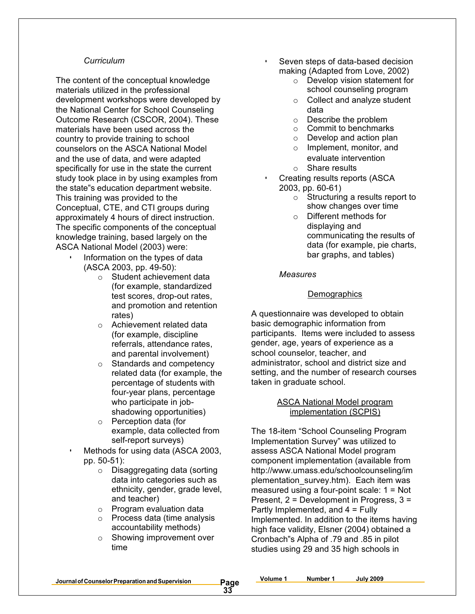#### *Curriculum*

The content of the conceptual knowledge materials utilized in the professional development workshops were developed by the National Center for School Counseling Outcome Research (CSCOR, 2004). These materials have been used across the country to provide training to school counselors on the ASCA National Model and the use of data, and were adapted specifically for use in the state the current study took place in by using examples from the state"s education department website. This training was provided to the Conceptual, CTE, and CTI groups during approximately 4 hours of direct instruction. The specific components of the conceptual knowledge training, based largely on the ASCA National Model (2003) were:

- Information on the types of data (ASCA 2003, pp. 49-50):
	- o Student achievement data (for example, standardized test scores, drop-out rates, and promotion and retention rates)
	- o Achievement related data (for example, discipline referrals, attendance rates, and parental involvement)
	- o Standards and competency related data (for example, the percentage of students with four-year plans, percentage who participate in jobshadowing opportunities)
	- o Perception data (for example, data collected from self-report surveys)
- Methods for using data (ASCA 2003, pp. 50-51):
	- o Disaggregating data (sorting data into categories such as ethnicity, gender, grade level, and teacher)
	- o Program evaluation data
	- o Process data (time analysis accountability methods)
	- o Showing improvement over time

Seven steps of data-based decision making (Adapted from Love, 2002)

- o Develop vision statement for school counseling program
- o Collect and analyze student data
- o Describe the problem
- o Commit to benchmarks
- o Develop and action plan
- o Implement, monitor, and evaluate intervention
- o Share results

• Creating results reports (ASCA 2003, pp. 60-61)

- o Structuring a results report to show changes over time
- o Different methods for displaying and communicating the results of data (for example, pie charts, bar graphs, and tables)

#### *Measures*

#### **Demographics**

A questionnaire was developed to obtain basic demographic information from participants. Items were included to assess gender, age, years of experience as a school counselor, teacher, and administrator, school and district size and setting, and the number of research courses taken in graduate school.

#### ASCA National Model program implementation (SCPIS)

The 18-item "School Counseling Program Implementation Survey" was utilized to assess ASCA National Model program component implementation (available from http://www.umass.edu/schoolcounseling/im plementation\_survey.htm). Each item was measured using a four-point scale: 1 = Not Present, 2 = Development in Progress, 3 = Partly Implemented, and 4 = Fully Implemented. In addition to the items having high face validity, Elsner (2004) obtained a Cronbach"s Alpha of .79 and .85 in pilot studies using 29 and 35 high schools in

**Journalof CounselorPreparationandSupervision Page**

**33**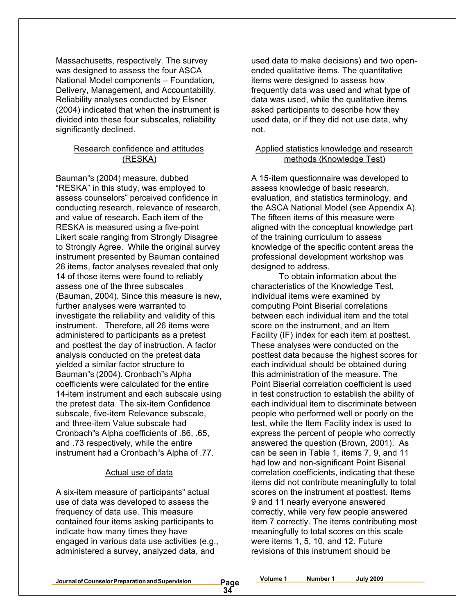Massachusetts, respectively. The survey was designed to assess the four ASCA National Model components – Foundation, Delivery, Management, and Accountability. Reliability analyses conducted by Elsner (2004) indicated that when the instrument is divided into these four subscales, reliability significantly declined.

### Research confidence and attitudes (RESKA)

Bauman"s (2004) measure, dubbed "RESKA" in this study, was employed to assess counselors" perceived confidence in conducting research, relevance of research, and value of research. Each item of the RESKA is measured using a five-point Likert scale ranging from Strongly Disagree to Strongly Agree. While the original survey instrument presented by Bauman contained 26 items, factor analyses revealed that only 14 of those items were found to reliably assess one of the three subscales (Bauman, 2004). Since this measure is new, further analyses were warranted to investigate the reliability and validity of this instrument. Therefore, all 26 items were administered to participants as a pretest and posttest the day of instruction. A factor analysis conducted on the pretest data yielded a similar factor structure to Bauman"s (2004). Cronbach"s Alpha coefficients were calculated for the entire 14-item instrument and each subscale using the pretest data. The six-item Confidence subscale, five-item Relevance subscale, and three-item Value subscale had Cronbach"s Alpha coefficients of .86, .65, and .73 respectively, while the entire instrument had a Cronbach"s Alpha of .77.

#### Actual use of data

A six-item measure of participants" actual use of data was developed to assess the frequency of data use. This measure contained four items asking participants to indicate how many times they have engaged in various data use activities (e.g., administered a survey, analyzed data, and

used data to make decisions) and two openended qualitative items. The quantitative items were designed to assess how frequently data was used and what type of data was used, while the qualitative items asked participants to describe how they used data, or if they did not use data, why not.

### Applied statistics knowledge and research methods (Knowledge Test)

A 15-item questionnaire was developed to assess knowledge of basic research, evaluation, and statistics terminology, and the ASCA National Model (see Appendix A). The fifteen items of this measure were aligned with the conceptual knowledge part of the training curriculum to assess knowledge of the specific content areas the professional development workshop was designed to address.

To obtain information about the characteristics of the Knowledge Test, individual items were examined by computing Point Biserial correlations between each individual item and the total score on the instrument, and an Item Facility (IF) index for each item at posttest. These analyses were conducted on the posttest data because the highest scores for each individual should be obtained during this administration of the measure. The Point Biserial correlation coefficient is used in test construction to establish the ability of each individual item to discriminate between people who performed well or poorly on the test, while the Item Facility index is used to express the percent of people who correctly answered the question (Brown, 2001). As can be seen in Table 1, items 7, 9, and 11 had low and non-significant Point Biserial correlation coefficients, indicating that these items did not contribute meaningfully to total scores on the instrument at posttest. Items 9 and 11 nearly everyone answered correctly, while very few people answered item 7 correctly. The items contributing most meaningfully to total scores on this scale were items 1, 5, 10, and 12. Future revisions of this instrument should be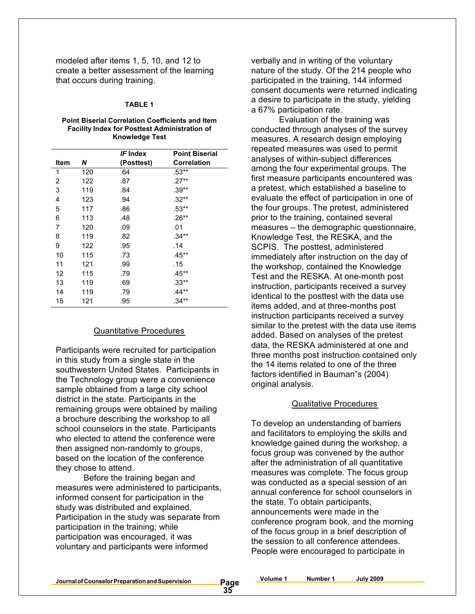modeled after items 1, 5, 10, and 12 to create a better assessment of the learning that occurs during training.

#### **TABLE 1**

#### **Point Biserial Correlation Coefficients and Item Facility Index for Posttest Administration of Knowledge Test**

|     | IF Index   | <b>Point Biserial</b> |
|-----|------------|-----------------------|
| N   | (Posttest) | <b>Correlation</b>    |
| 120 | .64        | $.53**$               |
| 122 | .87        | .27**                 |
| 119 | .84        | $.39**$               |
| 123 | .94        | $.32**$               |
| 117 | .86        | $.53**$               |
| 113 | .48        | .26**                 |
| 120 | .09        | .01                   |
| 119 | .82        | .34**                 |
| 122 | .95        | .14                   |
| 115 | .73        | $.45**$               |
| 121 | .99        | .15                   |
| 115 | .79        | .45**                 |
| 119 | .69        | $.33**$               |
| 119 | .79        | $.44**$               |
| 121 | .95        | $.34***$              |
|     |            |                       |

#### Quantitative Procedures

Participants were recruited for participation in this study from a single state in the southwestern United States. Participants in the Technology group were a convenience sample obtained from a large city school district in the state. Participants in the remaining groups were obtained by mailing a brochure describing the workshop to all school counselors in the state. Participants who elected to attend the conference were then assigned non-randomly to groups, based on the location of the conference they chose to attend.

Before the training began and measures were administered to participants, informed consent for participation in the study was distributed and explained. Participation in the study was separate from participation in the training; while participation was encouraged, it was voluntary and participants were informed

verbally and in writing of the voluntary nature of the study. Of the 214 people who participated in the training, 144 informed consent documents were returned indicating a desire to participate in the study, yielding a 67% participation rate.

Evaluation of the training was conducted through analyses of the survey measures. A research design employing repeated measures was used to permit analyses of within-subject differences among the four experimental groups. The first measure participants encountered was a pretest, which established a baseline to evaluate the effect of participation in one of the four groups. The pretest, administered prior to the training, contained several measures – the demographic questionnaire, Knowledge Test, the RESKA, and the SCPIS. The posttest, administered immediately after instruction on the day of the workshop, contained the Knowledge Test and the RESKA. At one-month post instruction, participants received a survey identical to the posttest with the data use items added, and at three-months post instruction participants received a survey similar to the pretest with the data use items added. Based on analyses of the pretest data, the RESKA administered at one and three months post instruction contained only the 14 items related to one of the three factors identified in Bauman"s (2004) original analysis.

#### Qualitative Procedures

To develop an understanding of barriers and facilitators to employing the skills and knowledge gained during the workshop, a focus group was convened by the author after the administration of all quantitative measures was complete. The focus group was conducted as a special session of an annual conference for school counselors in the state. To obtain participants, announcements were made in the conference program book, and the morning of the focus group in a brief description of the session to all conference attendees. People were encouraged to participate in

**Journalof CounselorPreparationandSupervision Page**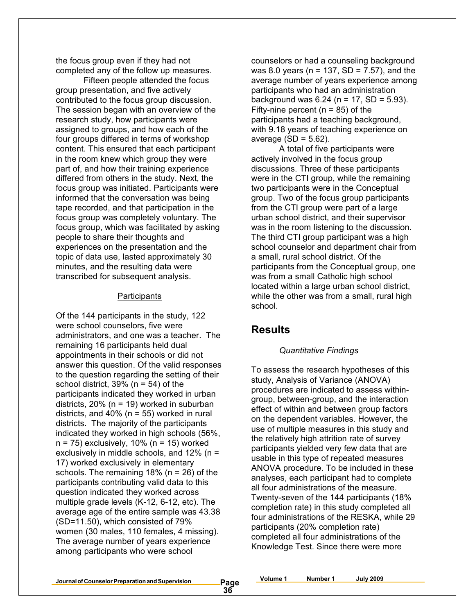the focus group even if they had not completed any of the follow up measures.

Fifteen people attended the focus group presentation, and five actively contributed to the focus group discussion. The session began with an overview of the research study, how participants were assigned to groups, and how each of the four groups differed in terms of workshop content. This ensured that each participant in the room knew which group they were part of, and how their training experience differed from others in the study. Next, the focus group was initiated. Participants were informed that the conversation was being tape recorded, and that participation in the focus group was completely voluntary. The focus group, which was facilitated by asking people to share their thoughts and experiences on the presentation and the topic of data use, lasted approximately 30 minutes, and the resulting data were transcribed for subsequent analysis.

#### **Participants**

Of the 144 participants in the study, 122 were school counselors, five were administrators, and one was a teacher. The remaining 16 participants held dual appointments in their schools or did not answer this question. Of the valid responses to the question regarding the setting of their school district,  $39\%$  (n = 54) of the participants indicated they worked in urban districts,  $20\%$  (n = 19) worked in suburban districts, and 40% ( $n = 55$ ) worked in rural districts. The majority of the participants indicated they worked in high schools (56%,  $n = 75$ ) exclusively, 10% ( $n = 15$ ) worked exclusively in middle schools, and 12% (n = 17) worked exclusively in elementary schools. The remaining 18% (n = 26) of the participants contributing valid data to this question indicated they worked across multiple grade levels (K-12, 6-12, etc). The average age of the entire sample was 43.38 (SD=11.50), which consisted of 79% women (30 males, 110 females, 4 missing). The average number of years experience among participants who were school

counselors or had a counseling background was 8.0 years ( $n = 137$ , SD = 7.57), and the average number of years experience among participants who had an administration background was  $6.24$  (n = 17, SD = 5.93). Fifty-nine percent ( $n = 85$ ) of the participants had a teaching background, with 9.18 years of teaching experience on average  $(SD = 5.62)$ .

A total of five participants were actively involved in the focus group discussions. Three of these participants were in the CTI group, while the remaining two participants were in the Conceptual group. Two of the focus group participants from the CTI group were part of a large urban school district, and their supervisor was in the room listening to the discussion. The third CTI group participant was a high school counselor and department chair from a small, rural school district. Of the participants from the Conceptual group, one was from a small Catholic high school located within a large urban school district, while the other was from a small, rural high school.

### **Results**

#### *Quantitative Findings*

To assess the research hypotheses of this study, Analysis of Variance (ANOVA) procedures are indicated to assess withingroup, between-group, and the interaction effect of within and between group factors on the dependent variables. However, the use of multiple measures in this study and the relatively high attrition rate of survey participants yielded very few data that are usable in this type of repeated measures ANOVA procedure. To be included in these analyses, each participant had to complete all four administrations of the measure. Twenty-seven of the 144 participants (18% completion rate) in this study completed all four administrations of the RESKA, while 29 participants (20% completion rate) completed all four administrations of the Knowledge Test. Since there were more

**Journalof CounselorPreparationandSupervision Page**

**Volume 1 Number 1 July 2009**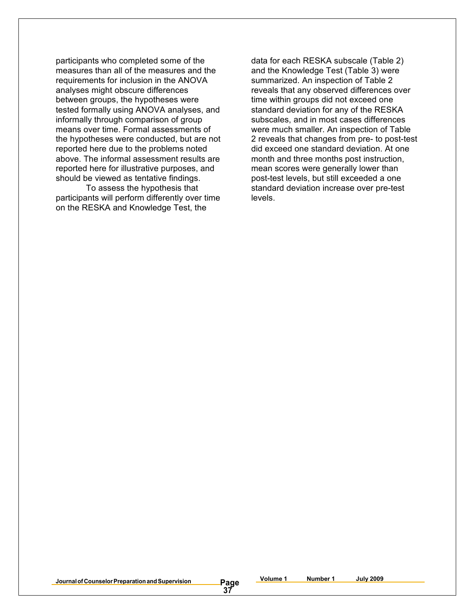participants who completed some of the measures than all of the measures and the requirements for inclusion in the ANOVA analyses might obscure differences between groups, the hypotheses were tested formally using ANOVA analyses, and informally through comparison of group means over time. Formal assessments of the hypotheses were conducted, but are not reported here due to the problems noted above. The informal assessment results are reported here for illustrative purposes, and should be viewed as tentative findings.

To assess the hypothesis that participants will perform differently over time on the RESKA and Knowledge Test, the

data for each RESKA subscale (Table 2) and the Knowledge Test (Table 3) were summarized. An inspection of Table 2 reveals that any observed differences over time within groups did not exceed one standard deviation for any of the RESKA subscales, and in most cases differences were much smaller. An inspection of Table 2 reveals that changes from pre- to post-test did exceed one standard deviation. At one month and three months post instruction, mean scores were generally lower than post-test levels, but still exceeded a one standard deviation increase over pre-test levels.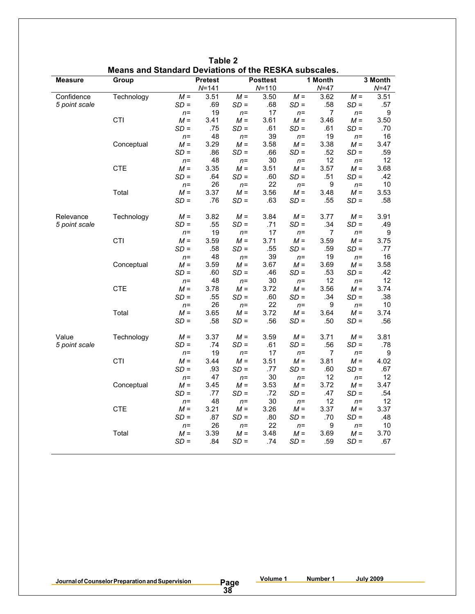|                             |            | <b>Means and Standard Deviations of the RESKA Subscales.</b> |                |                 |                 |                 |             |                 |             |
|-----------------------------|------------|--------------------------------------------------------------|----------------|-----------------|-----------------|-----------------|-------------|-----------------|-------------|
| <b>Measure</b>              | Group      |                                                              | <b>Pretest</b> |                 | <b>Posttest</b> |                 | 1 Month     |                 | 3 Month     |
|                             |            |                                                              | $N = 141$      |                 | $N = 110$       |                 | $N = 47$    |                 | $N=47$      |
| Confidence<br>5 point scale | Technology | $M =$<br>SD =                                                | 3.51<br>.69    | $M =$<br>$SD =$ | 3.50<br>.68     | $M =$<br>SD =   | 3.62<br>.58 | $M =$<br>$SD =$ | 3.51<br>.57 |
|                             |            | $n =$                                                        | 19             | $n =$           | 17              | $n=$            | 7           | $n =$           | 9           |
|                             | CTI        | $M =$                                                        | 3.41           | $M =$           | 3.61            | $M =$           | 3.46        | $M =$           | 3.50        |
|                             |            | $SD =$                                                       | .75            | $SD =$          | .61             | $SD =$          | .61         | $SD =$          | .70         |
|                             |            | $n =$                                                        | 48             | $n =$           | 39              | $n=$            | 19          | $n =$           | 16          |
|                             | Conceptual | $M =$                                                        | 3.29           | $M =$           | 3.58            | $M =$           | 3.38        | $M =$           | 3.47        |
|                             |            | SD =                                                         | .86            | $SD =$          | .66             | $SD =$          | .52         | $SD =$          | .59         |
|                             |            | $n =$                                                        | 48             | $n =$           | 30              | $n=$            | 12          | $n =$           | 12          |
|                             | <b>CTE</b> | $M =$                                                        | 3.35           | $M =$           | 3.51            | $M =$           | 3.57        | $M =$           | 3.68        |
|                             |            | SD =                                                         | .64            | $SD =$          | .60             | $SD =$          | .51         | $SD =$          | .42         |
|                             |            | $n =$                                                        | 26             | $n =$           | 22              | $n =$           | 9           | $n =$           | 10          |
|                             | Total      | $M =$                                                        | 3.37           | $M =$           | 3.56            | $M =$           | 3.48        | $M =$           | 3.53        |
|                             |            | $SD =$                                                       | .76            | $SD =$          | .63             | $SD =$          | .55         | $SD =$          | .58         |
| Relevance                   | Technology | $M =$                                                        | 3.82           | $M =$           | 3.84            | $M =$           | 3.77        | $M =$           | 3.91        |
| 5 point scale               |            | SD =                                                         | .55            | $SD =$          | .71             | $SD =$          | .34         | $SD =$          | .49         |
|                             |            | $n =$                                                        | 19             | $n =$           | 17              | $n =$           | 7           | $n =$           | 9           |
|                             | <b>CTI</b> | $M =$                                                        | 3.59           | $M =$           | 3.71            | $M =$           | 3.59        | $M =$           | 3.75        |
|                             |            | SD =                                                         | .58            | $SD =$          | .55             | $SD =$          | .59         | $SD =$          | .77         |
|                             |            | $n =$                                                        | 48             | $n =$           | 39              | $n=$            | 19          | $n =$           | 16          |
|                             | Conceptual | $M =$                                                        | 3.59           | $M =$           | 3.67            | $M =$           | 3.69        | $M =$           | 3.58        |
|                             |            | $SD =$                                                       | .60            | SD =            | .46             | SD =            | .53         | $SD =$          | .42         |
|                             |            | $n =$                                                        | 48             | $n =$           | 30              | $n =$           | 12          | $n =$           | 12          |
|                             | <b>CTE</b> | $M =$                                                        | 3.78           | $M =$           | 3.72<br>.60     | $M =$<br>$SD =$ | 3.56        | $M =$<br>$SD =$ | 3.74<br>.38 |
|                             |            | SD =                                                         | .55<br>26      | $SD =$          | 22              |                 | .34<br>9    |                 | 10          |
|                             | Total      | $n =$<br>$M =$                                               | 3.65           | $n =$<br>$M =$  | 3.72            | $n=$<br>$M =$   | 3.64        | $n =$<br>$M =$  | 3.74        |
|                             |            | $SD =$                                                       | .58            | SD =            | .56             | $SD =$          | .50         | $SD =$          | .56         |
|                             |            |                                                              |                |                 |                 |                 |             |                 |             |
| Value                       | Technology | $M =$                                                        | 3.37           | $M =$           | 3.59            | $M =$           | 3.71        | $M =$           | 3.81        |
| 5 point scale               |            | SD =                                                         | .74            | $SD =$          | .61             | $SD =$          | .56         | $SD =$          | .78         |
|                             |            | $n =$                                                        | 19             | $n =$           | 17              | $n =$           | 7           | $n =$           | 9           |
|                             | CTI        | $M =$                                                        | 3.44           | $M =$           | 3.51            | $M =$           | 3.81        | $M =$           | 4.02        |
|                             |            | SD =                                                         | .93            | SD =            | .77             | $SD =$          | .60         | SD =            | .67         |
|                             |            | $n =$                                                        | 47             | $n =$           | 30              | $n =$           | 12          | $n =$           | 12          |
|                             | Conceptual | $M =$                                                        | 3.45           | $M =$           | 3.53            | $M =$           | 3.72        | $M =$           | 3.47        |
|                             |            | $SD =$                                                       | .77            | $SD =$          | .72             | $SD =$          | .47         | $SD =$          | .54         |
|                             |            | $n =$                                                        | 48             | $n =$           | 30              | $n=$            | 12          | $n =$           | 12          |
|                             | <b>CTE</b> | $M =$                                                        | 3.21           | $M =$           | 3.26            | $M =$           | 3.37        | $M =$           | 3.37        |
|                             |            | SD =                                                         | .87            | SD =            | .80             | $SD =$          | .70         | $SD =$          | .48         |
|                             |            | $n =$                                                        | 26             | $n =$           | 22              | $n =$           | 9           | $n=$            | 10          |
|                             | Total      | $M =$                                                        | 3.39           | $M =$           | 3.48            | $M =$           | 3.69        | $M =$           | 3.70        |
|                             |            | $SD =$                                                       | .84            | SD =            | .74             | $SD =$          | .59         | $SD =$          | .67         |
|                             |            |                                                              |                |                 |                 |                 |             |                 |             |

**Table 2 Means and Standard Deviations of the RESKA subscales.**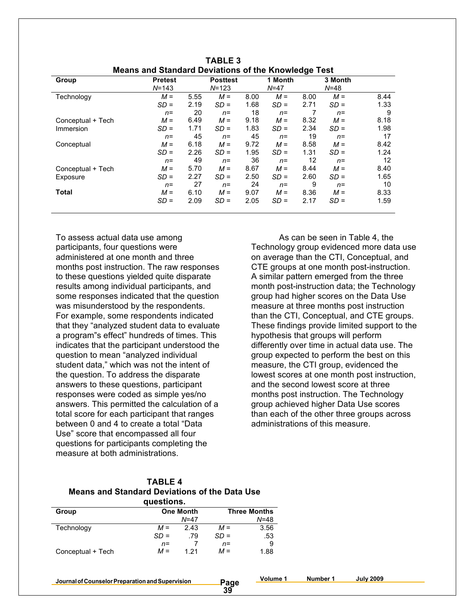| -- 9-             |                |      |                 |      |          |      |          |      |
|-------------------|----------------|------|-----------------|------|----------|------|----------|------|
| Group             | <b>Pretest</b> |      | <b>Posttest</b> |      | 1 Month  |      | 3 Month  |      |
|                   | $N = 143$      |      | $N = 123$       |      | $N = 47$ |      | $N = 48$ |      |
| Technology        | $M =$          | 5.55 | $M =$           | 8.00 | $M =$    | 8.00 | $M =$    | 8.44 |
|                   | $SD =$         | 2.19 | $SD =$          | 1.68 | $SD =$   | 2.71 | $SD =$   | 1.33 |
|                   | $n =$          | 20   | $n=$            | 18   | $n =$    |      | $n=$     | 9    |
| Conceptual + Tech | $M =$          | 6.49 | $M =$           | 9.18 | $M =$    | 8.32 | $M =$    | 8.18 |
| Immersion         | $SD =$         | 1.71 | $SD =$          | 1.83 | $SD =$   | 2.34 | $SD =$   | 1.98 |
|                   | $n =$          | 45   | $n =$           | 45   | $n =$    | 19   | $n=$     | 17   |
| Conceptual        | $M =$          | 6.18 | $M =$           | 9.72 | $M =$    | 8.58 | $M =$    | 8.42 |
|                   | $SD =$         | 2.26 | $SD =$          | 1.95 | $SD =$   | 1.31 | $SD =$   | 1.24 |
|                   | $n =$          | 49   | $n =$           | 36   | $n =$    | 12   | $n =$    | 12   |
| Conceptual + Tech | $M =$          | 5.70 | $M =$           | 8.67 | $M =$    | 8.44 | $M =$    | 8.40 |
| Exposure          | $SD =$         | 2.27 | $SD =$          | 2.50 | $SD =$   | 2.60 | $SD =$   | 1.65 |
|                   | $n=$           | 27   | $n =$           | 24   | $n =$    | 9    | $n=$     | 10   |
| <b>Total</b>      | $M =$          | 6.10 | $M =$           | 9.07 | $M =$    | 8.36 | $M =$    | 8.33 |
|                   | $SD =$         | 2.09 | $SD =$          | 2.05 | $SD =$   | 2.17 | $SD =$   | 1.59 |
|                   |                |      |                 |      |          |      |          |      |

| <b>TABLE 3</b>                                             |  |  |  |  |  |  |  |
|------------------------------------------------------------|--|--|--|--|--|--|--|
| <b>Means and Standard Deviations of the Knowledge Test</b> |  |  |  |  |  |  |  |

To assess actual data use among participants, four questions were administered at one month and three months post instruction. The raw responses to these questions yielded quite disparate results among individual participants, and some responses indicated that the question was misunderstood by the respondents. For example, some respondents indicated that they "analyzed student data to evaluate a program"s effect" hundreds of times. This indicates that the participant understood the question to mean "analyzed individual student data," which was not the intent of the question. To address the disparate answers to these questions, participant responses were coded as simple yes/no answers. This permitted the calculation of a total score for each participant that ranges between 0 and 4 to create a total "Data Use" score that encompassed all four questions for participants completing the measure at both administrations.

As can be seen in Table 4, the Technology group evidenced more data use on average than the CTI, Conceptual, and CTE groups at one month post-instruction. A similar pattern emerged from the three month post-instruction data; the Technology group had higher scores on the Data Use measure at three months post instruction than the CTI, Conceptual, and CTE groups. These findings provide limited support to the hypothesis that groups will perform differently over time in actual data use. The group expected to perform the best on this measure, the CTI group, evidenced the lowest scores at one month post instruction, and the second lowest score at three months post instruction. The Technology group achieved higher Data Use scores than each of the other three groups across administrations of this measure.

**TABLE 4 Means and Standard Deviations of the Data Use**

| questions.        |        |                  |                     |          |  |  |  |  |
|-------------------|--------|------------------|---------------------|----------|--|--|--|--|
| Group             |        | <b>One Month</b> | <b>Three Months</b> |          |  |  |  |  |
|                   |        | $N = 47$         |                     | $N = 48$ |  |  |  |  |
| Technology        | $M =$  | 2.43             | $M =$               | 3.56     |  |  |  |  |
|                   | $SD =$ | .79              | $SD =$              | .53      |  |  |  |  |
|                   | $n =$  |                  | n=                  | 9        |  |  |  |  |
| Conceptual + Tech | $M =$  | 1 21             | $M =$               | 1.88     |  |  |  |  |

**Journalof CounselorPreparationandSupervision Page**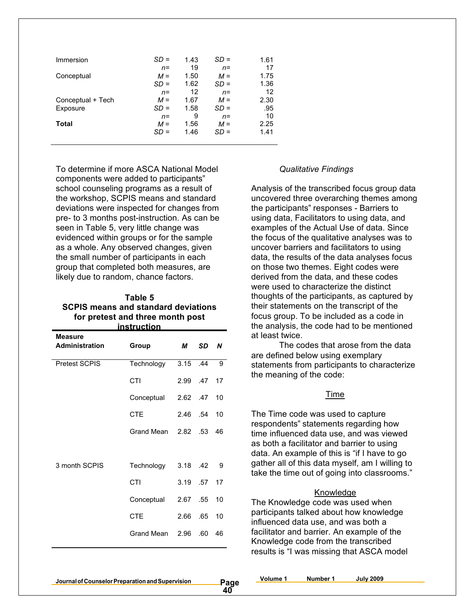| Immersion         | SD =   | 1.43 | SD =   | 1.61 |
|-------------------|--------|------|--------|------|
|                   | $n =$  | 19   | $n=$   | 17   |
| Conceptual        | $M =$  | 1.50 | $M =$  | 1.75 |
|                   | $SD =$ | 1.62 | $SD =$ | 1.36 |
|                   | $n =$  | 12   | $n=$   | 12   |
| Conceptual + Tech | $M =$  | 1.67 | $M =$  | 2.30 |
| Exposure          | $SD =$ | 1.58 | SD =   | .95  |
|                   | $n =$  | 9    | $n=$   | 10   |
| Total             | $M =$  | 1.56 | $M =$  | 2.25 |
|                   | $SD =$ | 1.46 | SD =   | 1.41 |
|                   |        |      |        |      |

To determine if more ASCA National Model components were added to participants" school counseling programs as a result of the workshop, SCPIS means and standard deviations were inspected for changes from pre- to 3 months post-instruction. As can be seen in Table 5, very little change was evidenced within groups or for the sample as a whole. Any observed changes, given the small number of participants in each group that completed both measures, are likely due to random, chance factors.

#### **Table 5 SCPIS means and standard deviations for pretest and three month post instruction**

| Measure               |            |            |           |    |
|-----------------------|------------|------------|-----------|----|
| <b>Administration</b> | Group      | М          | <b>SD</b> | N  |
| <b>Pretest SCPIS</b>  | Technology | 3.15 .44   |           | 9  |
|                       | CTI        | 2.99 .47   |           | 17 |
|                       | Conceptual | 2.62 .47   |           | 10 |
|                       | <b>CTE</b> | 2.46 .54   |           | 10 |
|                       | Grand Mean | 2.82       | .53       | 46 |
|                       |            |            |           |    |
| 3 month SCPIS         | Technology | $3.18$ .42 |           | -9 |
|                       | CTI        | 3.19 .57   |           | 17 |
|                       | Conceptual | 2.67       | .55       | 10 |
|                       | <b>CTE</b> | 2.66       | .65       | 10 |
|                       | Grand Mean | 2.96       | .60       | 46 |

#### *Qualitative Findings*

Analysis of the transcribed focus group data uncovered three overarching themes among the participants" responses - Barriers to using data, Facilitators to using data, and examples of the Actual Use of data. Since the focus of the qualitative analyses was to uncover barriers and facilitators to using data, the results of the data analyses focus on those two themes. Eight codes were derived from the data, and these codes were used to characterize the distinct thoughts of the participants, as captured by their statements on the transcript of the focus group. To be included as a code in the analysis, the code had to be mentioned at least twice.

The codes that arose from the data are defined below using exemplary statements from participants to characterize the meaning of the code:

#### Time

The Time code was used to capture respondents" statements regarding how time influenced data use, and was viewed as both a facilitator and barrier to using data. An example of this is "if I have to go gather all of this data myself, am I willing to take the time out of going into classrooms."

#### Knowledge

The Knowledge code was used when participants talked about how knowledge influenced data use, and was both a facilitator and barrier. An example of the Knowledge code from the transcribed results is "I was missing that ASCA model

**Journalof CounselorPreparationandSupervision Page**

**Volume 1 Number 1 July 2009**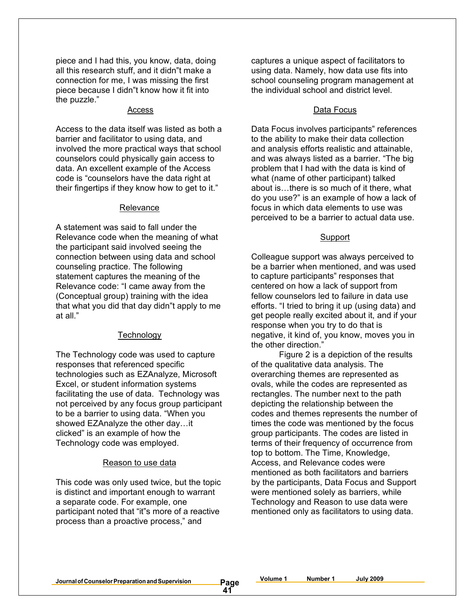piece and I had this, you know, data, doing all this research stuff, and it didn"t make a connection for me, I was missing the first piece because I didn"t know how it fit into the puzzle."

Access to the data itself was listed as both a barrier and facilitator to using data, and involved the more practical ways that school counselors could physically gain access to data. An excellent example of the Access code is "counselors have the data right at their fingertips if they know how to get to it."

#### Relevance

A statement was said to fall under the Relevance code when the meaning of what the participant said involved seeing the connection between using data and school counseling practice. The following statement captures the meaning of the Relevance code: "I came away from the (Conceptual group) training with the idea that what you did that day didn"t apply to me at all."

#### **Technology**

The Technology code was used to capture responses that referenced specific technologies such as EZAnalyze, Microsoft Excel, or student information systems facilitating the use of data. Technology was not perceived by any focus group participant to be a barrier to using data. "When you showed EZAnalyze the other day…it clicked" is an example of how the Technology code was employed.

#### Reason to use data

This code was only used twice, but the topic is distinct and important enough to warrant a separate code. For example, one participant noted that "it"s more of a reactive process than a proactive process," and

captures a unique aspect of facilitators to using data. Namely, how data use fits into school counseling program management at the individual school and district level.

#### Access Data Focus

Data Focus involves participants" references to the ability to make their data collection and analysis efforts realistic and attainable, and was always listed as a barrier. "The big problem that I had with the data is kind of what (name of other participant) talked about is…there is so much of it there, what do you use?" is an example of how a lack of focus in which data elements to use was perceived to be a barrier to actual data use.

#### Support

Colleague support was always perceived to be a barrier when mentioned, and was used to capture participants" responses that centered on how a lack of support from fellow counselors led to failure in data use efforts. "I tried to bring it up (using data) and get people really excited about it, and if your response when you try to do that is negative, it kind of, you know, moves you in the other direction."

Figure 2 is a depiction of the results of the qualitative data analysis. The overarching themes are represented as ovals, while the codes are represented as rectangles. The number next to the path depicting the relationship between the codes and themes represents the number of times the code was mentioned by the focus group participants. The codes are listed in terms of their frequency of occurrence from top to bottom. The Time, Knowledge, Access, and Relevance codes were mentioned as both facilitators and barriers by the participants, Data Focus and Support were mentioned solely as barriers, while Technology and Reason to use data were mentioned only as facilitators to using data.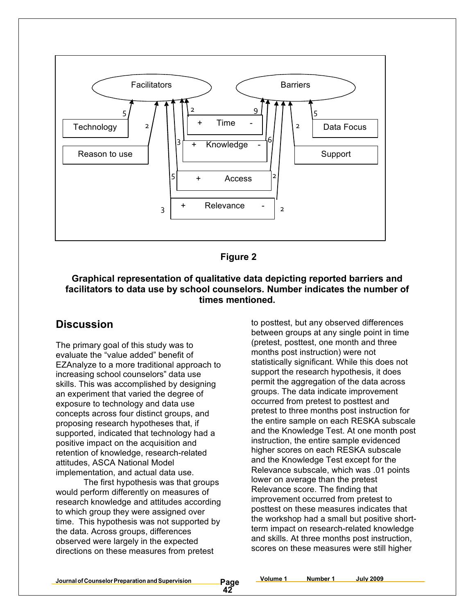



### **Graphical representation of qualitative data depicting reported barriers and facilitators to data use by school counselors. Number indicates the number of times mentioned.**

### **Discussion**

The primary goal of this study was to evaluate the "value added" benefit of EZAnalyze to a more traditional approach to increasing school counselors" data use skills. This was accomplished by designing an experiment that varied the degree of exposure to technology and data use concepts across four distinct groups, and proposing research hypotheses that, if supported, indicated that technology had a positive impact on the acquisition and retention of knowledge, research-related attitudes, ASCA National Model implementation, and actual data use.

The first hypothesis was that groups would perform differently on measures of research knowledge and attitudes according to which group they were assigned over time. This hypothesis was not supported by the data. Across groups, differences observed were largely in the expected directions on these measures from pretest

to posttest, but any observed differences between groups at any single point in time (pretest, posttest, one month and three months post instruction) were not statistically significant. While this does not support the research hypothesis, it does permit the aggregation of the data across groups. The data indicate improvement occurred from pretest to posttest and pretest to three months post instruction for the entire sample on each RESKA subscale and the Knowledge Test. At one month post instruction, the entire sample evidenced higher scores on each RESKA subscale and the Knowledge Test except for the Relevance subscale, which was .01 points lower on average than the pretest Relevance score. The finding that improvement occurred from pretest to posttest on these measures indicates that the workshop had a small but positive shortterm impact on research-related knowledge and skills. At three months post instruction, scores on these measures were still higher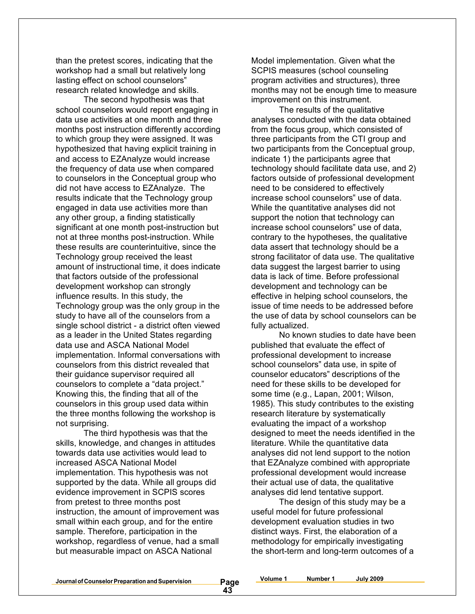than the pretest scores, indicating that the workshop had a small but relatively long lasting effect on school counselors" research related knowledge and skills.

The second hypothesis was that school counselors would report engaging in data use activities at one month and three months post instruction differently according to which group they were assigned. It was hypothesized that having explicit training in and access to EZAnalyze would increase the frequency of data use when compared to counselors in the Conceptual group who did not have access to EZAnalyze. The results indicate that the Technology group engaged in data use activities more than any other group, a finding statistically significant at one month post-instruction but not at three months post-instruction. While these results are counterintuitive, since the Technology group received the least amount of instructional time, it does indicate that factors outside of the professional development workshop can strongly influence results. In this study, the Technology group was the only group in the study to have all of the counselors from a single school district - a district often viewed as a leader in the United States regarding data use and ASCA National Model implementation. Informal conversations with counselors from this district revealed that their guidance supervisor required all counselors to complete a "data project." Knowing this, the finding that all of the counselors in this group used data within the three months following the workshop is not surprising.

The third hypothesis was that the skills, knowledge, and changes in attitudes towards data use activities would lead to increased ASCA National Model implementation. This hypothesis was not supported by the data. While all groups did evidence improvement in SCPIS scores from pretest to three months post instruction, the amount of improvement was small within each group, and for the entire sample. Therefore, participation in the workshop, regardless of venue, had a small but measurable impact on ASCA National

Model implementation. Given what the SCPIS measures (school counseling program activities and structures), three months may not be enough time to measure improvement on this instrument.

The results of the qualitative analyses conducted with the data obtained from the focus group, which consisted of three participants from the CTI group and two participants from the Conceptual group, indicate 1) the participants agree that technology should facilitate data use, and 2) factors outside of professional development need to be considered to effectively increase school counselors" use of data. While the quantitative analyses did not support the notion that technology can increase school counselors" use of data, contrary to the hypotheses, the qualitative data assert that technology should be a strong facilitator of data use. The qualitative data suggest the largest barrier to using data is lack of time. Before professional development and technology can be effective in helping school counselors, the issue of time needs to be addressed before the use of data by school counselors can be fully actualized.

No known studies to date have been published that evaluate the effect of professional development to increase school counselors" data use, in spite of counselor educators" descriptions of the need for these skills to be developed for some time (e.g., Lapan, 2001; Wilson, 1985). This study contributes to the existing research literature by systematically evaluating the impact of a workshop designed to meet the needs identified in the literature. While the quantitative data analyses did not lend support to the notion that EZAnalyze combined with appropriate professional development would increase their actual use of data, the qualitative analyses did lend tentative support.

The design of this study may be a useful model for future professional development evaluation studies in two distinct ways. First, the elaboration of a methodology for empirically investigating the short-term and long-term outcomes of a

**Volume 1 Number 1 July 2009**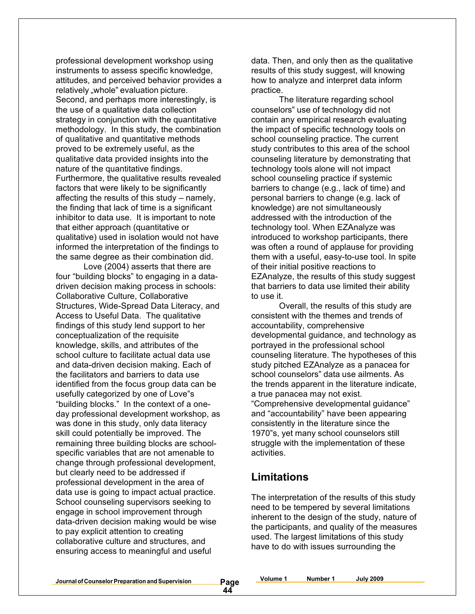professional development workshop using instruments to assess specific knowledge, attitudes, and perceived behavior provides a relatively "whole" evaluation picture. Second, and perhaps more interestingly, is the use of a qualitative data collection strategy in conjunction with the quantitative methodology. In this study, the combination of qualitative and quantitative methods proved to be extremely useful, as the qualitative data provided insights into the nature of the quantitative findings. Furthermore, the qualitative results revealed factors that were likely to be significantly affecting the results of this study – namely, the finding that lack of time is a significant inhibitor to data use. It is important to note that either approach (quantitative or qualitative) used in isolation would not have informed the interpretation of the findings to the same degree as their combination did.

Love (2004) asserts that there are four "building blocks" to engaging in a datadriven decision making process in schools: Collaborative Culture, Collaborative Structures, Wide-Spread Data Literacy, and Access to Useful Data. The qualitative findings of this study lend support to her conceptualization of the requisite knowledge, skills, and attributes of the school culture to facilitate actual data use and data-driven decision making. Each of the facilitators and barriers to data use identified from the focus group data can be usefully categorized by one of Love"s "building blocks." In the context of a oneday professional development workshop, as was done in this study, only data literacy skill could potentially be improved. The remaining three building blocks are schoolspecific variables that are not amenable to change through professional development, but clearly need to be addressed if professional development in the area of data use is going to impact actual practice. School counseling supervisors seeking to engage in school improvement through data-driven decision making would be wise to pay explicit attention to creating collaborative culture and structures, and ensuring access to meaningful and useful

data. Then, and only then as the qualitative results of this study suggest, will knowing how to analyze and interpret data inform practice.

The literature regarding school counselors" use of technology did not contain any empirical research evaluating the impact of specific technology tools on school counseling practice. The current study contributes to this area of the school counseling literature by demonstrating that technology tools alone will not impact school counseling practice if systemic barriers to change (e.g., lack of time) and personal barriers to change (e.g. lack of knowledge) are not simultaneously addressed with the introduction of the technology tool. When EZAnalyze was introduced to workshop participants, there was often a round of applause for providing them with a useful, easy-to-use tool. In spite of their initial positive reactions to EZAnalyze, the results of this study suggest that barriers to data use limited their ability to use it.

Overall, the results of this study are consistent with the themes and trends of accountability, comprehensive developmental guidance, and technology as portrayed in the professional school counseling literature. The hypotheses of this study pitched EZAnalyze as a panacea for school counselors" data use ailments. As the trends apparent in the literature indicate, a true panacea may not exist. "Comprehensive developmental guidance" and "accountability" have been appearing consistently in the literature since the 1970"s, yet many school counselors still struggle with the implementation of these activities.

### **Limitations**

The interpretation of the results of this study need to be tempered by several limitations inherent to the design of the study, nature of the participants, and quality of the measures used. The largest limitations of this study have to do with issues surrounding the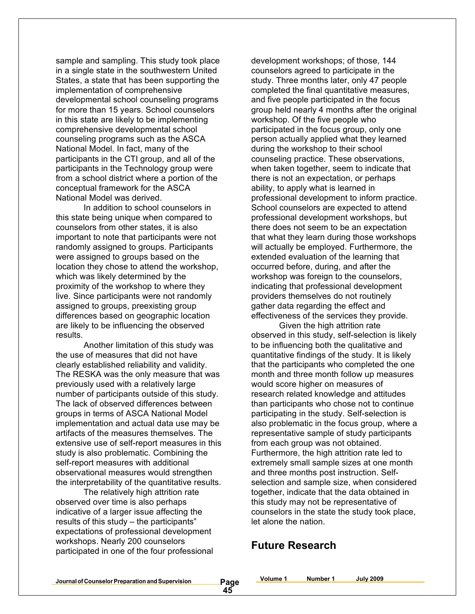sample and sampling. This study took place in a single state in the southwestern United States, a state that has been supporting the implementation of comprehensive developmental school counseling programs for more than 15 years. School counselors in this state are likely to be implementing comprehensive developmental school counseling programs such as the ASCA National Model. In fact, many of the participants in the CTI group, and all of the participants in the Technology group were from a school district where a portion of the conceptual framework for the ASCA National Model was derived.

In addition to school counselors in this state being unique when compared to counselors from other states, it is also important to note that participants were not randomly assigned to groups. Participants were assigned to groups based on the location they chose to attend the workshop, which was likely determined by the proximity of the workshop to where they live. Since participants were not randomly assigned to groups, preexisting group differences based on geographic location are likely to be influencing the observed results.

Another limitation of this study was the use of measures that did not have clearly established reliability and validity. The RESKA was the only measure that was previously used with a relatively large number of participants outside of this study. The lack of observed differences between groups in terms of ASCA National Model implementation and actual data use may be artifacts of the measures themselves. The extensive use of self-report measures in this study is also problematic. Combining the self-report measures with additional observational measures would strengthen the interpretability of the quantitative results.

The relatively high attrition rate observed over time is also perhaps indicative of a larger issue affecting the results of this study – the participants" expectations of professional development workshops. Nearly 200 counselors participated in one of the four professional

development workshops; of those, 144 counselors agreed to participate in the study. Three months later, only 47 people completed the final quantitative measures, and five people participated in the focus group held nearly 4 months after the original workshop. Of the five people who participated in the focus group, only one person actually applied what they learned during the workshop to their school counseling practice. These observations, when taken together, seem to indicate that there is not an expectation, or perhaps ability, to apply what is learned in professional development to inform practice. School counselors are expected to attend professional development workshops, but there does not seem to be an expectation that what they learn during those workshops will actually be employed. Furthermore, the extended evaluation of the learning that occurred before, during, and after the workshop was foreign to the counselors, indicating that professional development providers themselves do not routinely gather data regarding the effect and effectiveness of the services they provide.

Given the high attrition rate observed in this study, self-selection is likely to be influencing both the qualitative and quantitative findings of the study. It is likely that the participants who completed the one month and three month follow up measures would score higher on measures of research related knowledge and attitudes than participants who chose not to continue participating in the study. Self-selection is also problematic in the focus group, where a representative sample of study participants from each group was not obtained. Furthermore, the high attrition rate led to extremely small sample sizes at one month and three months post instruction. Selfselection and sample size, when considered together, indicate that the data obtained in this study may not be representative of counselors in the state the study took place, let alone the nation.

### **Future Research**

**Volume 1 Number 1 July 2009**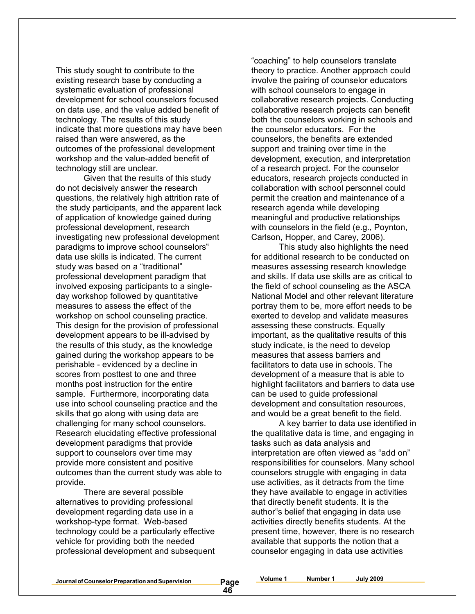This study sought to contribute to the existing research base by conducting a systematic evaluation of professional development for school counselors focused on data use, and the value added benefit of technology. The results of this study indicate that more questions may have been raised than were answered, as the outcomes of the professional development workshop and the value-added benefit of technology still are unclear.

Given that the results of this study do not decisively answer the research questions, the relatively high attrition rate of the study participants, and the apparent lack of application of knowledge gained during professional development, research investigating new professional development paradigms to improve school counselors" data use skills is indicated. The current study was based on a "traditional" professional development paradigm that involved exposing participants to a singleday workshop followed by quantitative measures to assess the effect of the workshop on school counseling practice. This design for the provision of professional development appears to be ill-advised by the results of this study, as the knowledge gained during the workshop appears to be perishable - evidenced by a decline in scores from posttest to one and three months post instruction for the entire sample. Furthermore, incorporating data use into school counseling practice and the skills that go along with using data are challenging for many school counselors. Research elucidating effective professional development paradigms that provide support to counselors over time may provide more consistent and positive outcomes than the current study was able to provide.

There are several possible alternatives to providing professional development regarding data use in a workshop-type format. Web-based technology could be a particularly effective vehicle for providing both the needed professional development and subsequent

"coaching" to help counselors translate theory to practice. Another approach could involve the pairing of counselor educators with school counselors to engage in collaborative research projects. Conducting collaborative research projects can benefit both the counselors working in schools and the counselor educators. For the counselors, the benefits are extended support and training over time in the development, execution, and interpretation of a research project. For the counselor educators, research projects conducted in collaboration with school personnel could permit the creation and maintenance of a research agenda while developing meaningful and productive relationships with counselors in the field (e.g., Poynton, Carlson, Hopper, and Carey, 2006).

This study also highlights the need for additional research to be conducted on measures assessing research knowledge and skills. If data use skills are as critical to the field of school counseling as the ASCA National Model and other relevant literature portray them to be, more effort needs to be exerted to develop and validate measures assessing these constructs. Equally important, as the qualitative results of this study indicate, is the need to develop measures that assess barriers and facilitators to data use in schools. The development of a measure that is able to highlight facilitators and barriers to data use can be used to guide professional development and consultation resources, and would be a great benefit to the field.

A key barrier to data use identified in the qualitative data is time, and engaging in tasks such as data analysis and interpretation are often viewed as "add on" responsibilities for counselors. Many school counselors struggle with engaging in data use activities, as it detracts from the time they have available to engage in activities that directly benefit students. It is the author"s belief that engaging in data use activities directly benefits students. At the present time, however, there is no research available that supports the notion that a counselor engaging in data use activities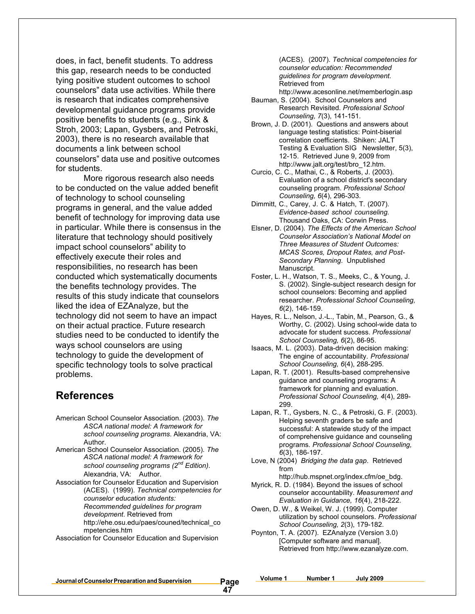does, in fact, benefit students. To address this gap, research needs to be conducted tying positive student outcomes to school counselors" data use activities. While there is research that indicates comprehensive developmental guidance programs provide positive benefits to students (e.g., Sink & Stroh, 2003; Lapan, Gysbers, and Petroski, 2003), there is no research available that documents a link between school counselors" data use and positive outcomes for students.

More rigorous research also needs to be conducted on the value added benefit of technology to school counseling programs in general, and the value added benefit of technology for improving data use in particular. While there is consensus in the literature that technology should positively impact school counselors" ability to effectively execute their roles and responsibilities, no research has been conducted which systematically documents the benefits technology provides. The results of this study indicate that counselors liked the idea of EZAnalyze, but the technology did not seem to have an impact on their actual practice. Future research studies need to be conducted to identify the ways school counselors are using technology to guide the development of specific technology tools to solve practical problems.

### **References**

- American School Counselor Association. (2003). *The ASCA national model: A framework for school counseling programs*. Alexandria, VA: Author.
- American School Counselor Association. (2005). *The ASCA national model: A framework for school counseling programs (2nd Edition)*. Alexandria, VA: Author.
- Association for Counselor Education and Supervision (ACES). (1999). *Technical competencies for counselor education students: Recommended guidelines for program development*. Retrieved from http://ehe.osu.edu/paes/couned/technical\_co mpetencies.htm

Association for Counselor Education and Supervision

(ACES). (2007). *Technical competencies for counselor education: Recommended guidelines for program development.* Retrieved from

- http://www.acesonline.net/memberlogin.asp Bauman, S. (2004). School Counselors and Research Revisited. *Professional School*
- *Counseling, 7*(3), 141-151. Brown, J. D. (2001). Questions and answers about language testing statistics: Point-biserial correlation coefficients. Shiken: JALT Testing & Evaluation SIG Newsletter, 5(3), 12-15. Retrieved June 9, 2009 from http://www.jalt.org/test/bro\_12.htm.
- Curcio, C. C., Mathai, C., & Roberts, J. (2003). Evaluation of a school district's secondary counseling program. *Professional School Counseling, 6*(4), 296-303.
- Dimmitt, C., Carey, J. C. & Hatch, T. (2007). *Evidence-based school counseling.* Thousand Oaks, CA: Corwin Press.
- Elsner, D. (2004). *The Effects of the American School Counselor Association's National Model on Three Measures of Student Outcomes: MCAS Scores, Dropout Rates, and Post-Secondary Planning*. Unpublished Manuscript.
- Foster, L. H., Watson, T. S., Meeks, C., & Young, J. S. (2002). Single-subject research design for school counselors: Becoming and applied researcher. *Professional School Counseling, 6*(2), 146-159.
- Hayes, R. L., Nelson, J.-L., Tabin, M., Pearson, G., & Worthy, C. (2002). Using school-wide data to advocate for student success. *Professional School Counseling, 6*(2), 86-95.
- Isaacs, M. L. (2003). Data-driven decision making: The engine of accountability. *Professional School Counseling, 6*(4), 288-295.
- Lapan, R. T. (2001). Results-based comprehensive guidance and counseling programs: A framework for planning and evaluation. *Professional School Counseling, 4*(4), 289- 299.
- Lapan, R. T., Gysbers, N. C., & Petroski, G. F. (2003). Helping seventh graders be safe and successful: A statewide study of the impact of comprehensive guidance and counseling programs*. Professional School Counseling, 6*(3), 186-197.
- Love, N (2004) *Bridging the data gap*. Retrieved from
- http://hub.mspnet.org/index.cfm/oe\_bdg. Myrick, R. D. (1984). Beyond the issues of school counselor accountability. *Measurement and Evaluation in Guidance, 16*(4), 218-222.
- Owen, D. W., & Weikel, W. J. (1999). Computer utilization by school counselors. *Professional School Counseling, 2*(3), 179-182.
- Poynton, T. A. (2007). EZAnalyze (Version 3.0) [Computer software and manual]. Retrieved from http://www.ezanalyze.com.

**Journalof CounselorPreparation andSupervision Page**

**Volume 1 Number 1 July 2009**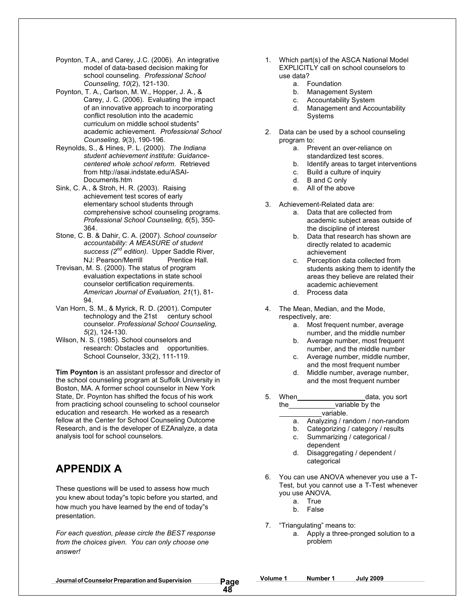- Poynton, T.A., and Carey, J.C. (2006). An integrative model of data-based decision making for school counseling. *Professional School Counseling, 10*(2), 121-130.
- Poynton, T. A., Carlson, M. W., Hopper, J. A., & Carey, J. C. (2006). Evaluating the impact of an innovative approach to incorporating conflict resolution into the academic curriculum on middle school students" academic achievement. *Professional School Counseling, 9*(3), 190-196.
- Reynolds, S., & Hines, P. L. (2000). *The Indiana student achievement institute: Guidancecentered whole school reform.* Retrieved from http://asai.indstate.edu/ASAI-Documents.htm
- Sink, C. A., & Stroh, H. R. (2003). Raising achievement test scores of early elementary school students through comprehensive school counseling programs. *Professional School Counseling, 6*(5), 350- 364.
- Stone, C. B. & Dahir, C. A. (2007). *School counselor accountability: A MEASURE of student success (2nd edition).* Upper Saddle River, NJ: Pearson/Merrill Prentice Hall.
- Trevisan, M. S. (2000). The status of program evaluation expectations in state school counselor certification requirements. *American Journal of Evaluation, 21*(1), 81- 94.
- Van Horn, S. M., & Myrick, R. D. (2001). Computer technology and the 21st century school counselor. *Professional School Counseling, 5*(2), 124-130.
- Wilson, N. S. (1985). School counselors and research: Obstacles and opportunities. School Counselor, 33(2), 111-119.

**Tim Poynton** is an assistant professor and director of the school counseling program at Suffolk University in Boston, MA. A former school counselor in New York State, Dr. Poynton has shifted the focus of his work from practicing school counseling to school counselor education and research. He worked as a research fellow at the Center for School Counseling Outcome Research, and is the developer of EZAnalyze, a data analysis tool for school counselors.

## **APPENDIX A**

These questions will be used to assess how much you knew about today"s topic before you started, and how much you have learned by the end of today"s presentation.

*For each question, please circle the BEST response from the choices given. You can only choose one answer!*

- 1. Which part(s) of the ASCA National Model EXPLICITLY call on school counselors to use data?
	- a. Foundation
	- b. Management System
	- c. Accountability System
	- d. Management and Accountability Systems
- 2. Data can be used by a school counseling program to:
	- a. Prevent an over-reliance on standardized test scores.
	- b. Identify areas to target interventions
	- c. Build a culture of inquiry
	- d. B and C only
	- e. All of the above
- 3. Achievement-Related data are:
	- a. Data that are collected from academic subject areas outside of the discipline of interest
	- b. Data that research has shown are directly related to academic achievement
	- c. Perception data collected from students asking them to identify the areas they believe are related their academic achievement
	- d. Process data
- 4. The Mean, Median, and the Mode, respectively, are:
	- a. Most frequent number, average number, and the middle number
	- b. Average number, most frequent number, and the middle number
	- c. Average number, middle number, and the most frequent number
	- d. Middle number, average number, and the most frequent number
- 5. When data, you sort the variable by the variable.
	- a. Analyzing / random / non-random
	- b. Categorizing / category / results
	- c. Summarizing / categorical / dependent
	- d. Disaggregating / dependent / categorical
- 6. You can use ANOVA whenever you use a T-Test, but you cannot use a T-Test whenever you use ANOVA.
	- a. True
	- b. False
- 7. "Triangulating" means to: a. Apply a three-pronged solution to a problem

**Volume 1 Number 1 July 2009**

**Journalof CounselorPreparation andSupervision Page**